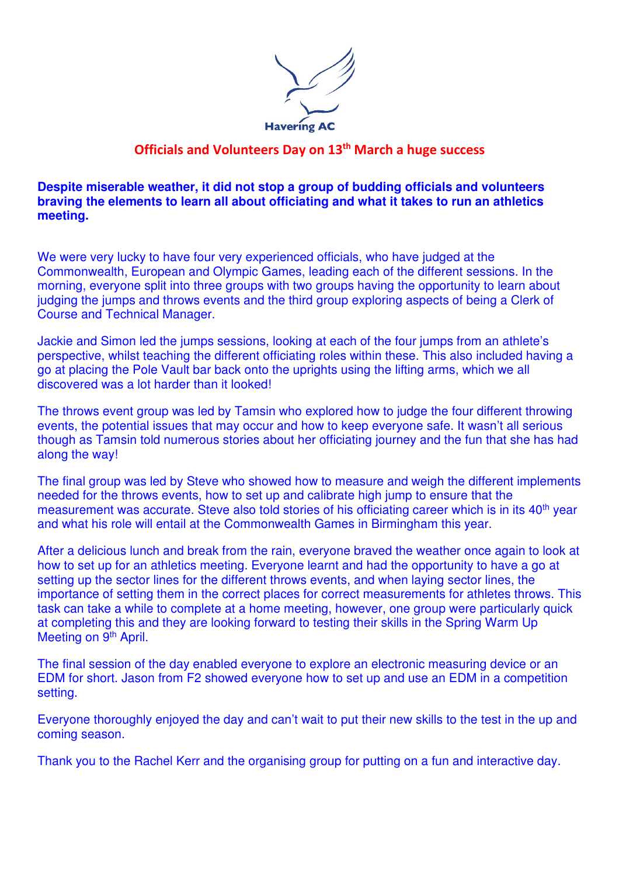

## **Officials and Volunteers Day on 13th March a huge success**

**Despite miserable weather, it did not stop a group of budding officials and volunteers braving the elements to learn all about officiating and what it takes to run an athletics meeting.** 

We were very lucky to have four very experienced officials, who have judged at the Commonwealth, European and Olympic Games, leading each of the different sessions. In the morning, everyone split into three groups with two groups having the opportunity to learn about judging the jumps and throws events and the third group exploring aspects of being a Clerk of Course and Technical Manager.

Jackie and Simon led the jumps sessions, looking at each of the four jumps from an athlete's perspective, whilst teaching the different officiating roles within these. This also included having a go at placing the Pole Vault bar back onto the uprights using the lifting arms, which we all discovered was a lot harder than it looked!

The throws event group was led by Tamsin who explored how to judge the four different throwing events, the potential issues that may occur and how to keep everyone safe. It wasn't all serious though as Tamsin told numerous stories about her officiating journey and the fun that she has had along the way!

The final group was led by Steve who showed how to measure and weigh the different implements needed for the throws events, how to set up and calibrate high jump to ensure that the measurement was accurate. Steve also told stories of his officiating career which is in its 40<sup>th</sup> year and what his role will entail at the Commonwealth Games in Birmingham this year.

After a delicious lunch and break from the rain, everyone braved the weather once again to look at how to set up for an athletics meeting. Everyone learnt and had the opportunity to have a go at setting up the sector lines for the different throws events, and when laying sector lines, the importance of setting them in the correct places for correct measurements for athletes throws. This task can take a while to complete at a home meeting, however, one group were particularly quick at completing this and they are looking forward to testing their skills in the Spring Warm Up Meeting on 9<sup>th</sup> April.

The final session of the day enabled everyone to explore an electronic measuring device or an EDM for short. Jason from F2 showed everyone how to set up and use an EDM in a competition setting.

Everyone thoroughly enjoyed the day and can't wait to put their new skills to the test in the up and coming season.

Thank you to the Rachel Kerr and the organising group for putting on a fun and interactive day.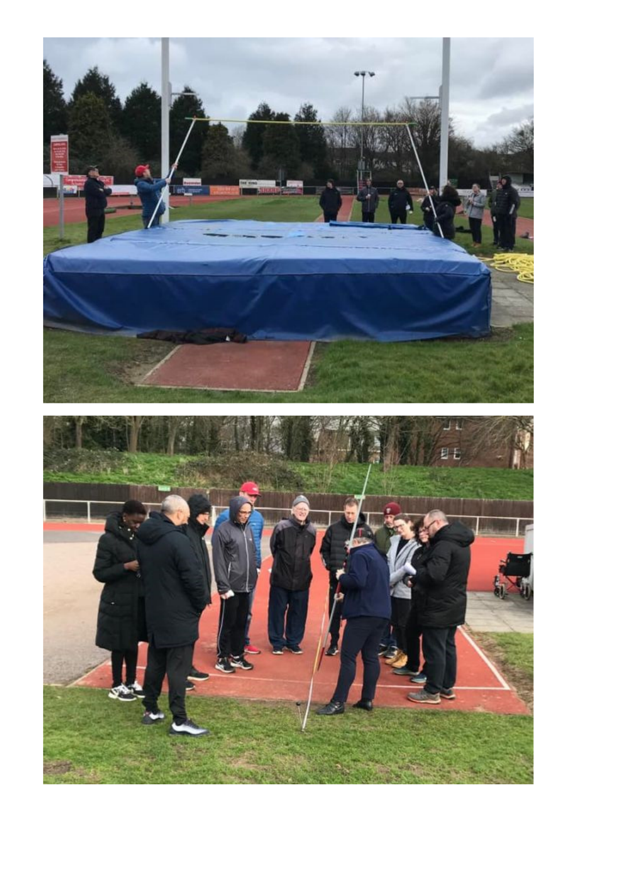